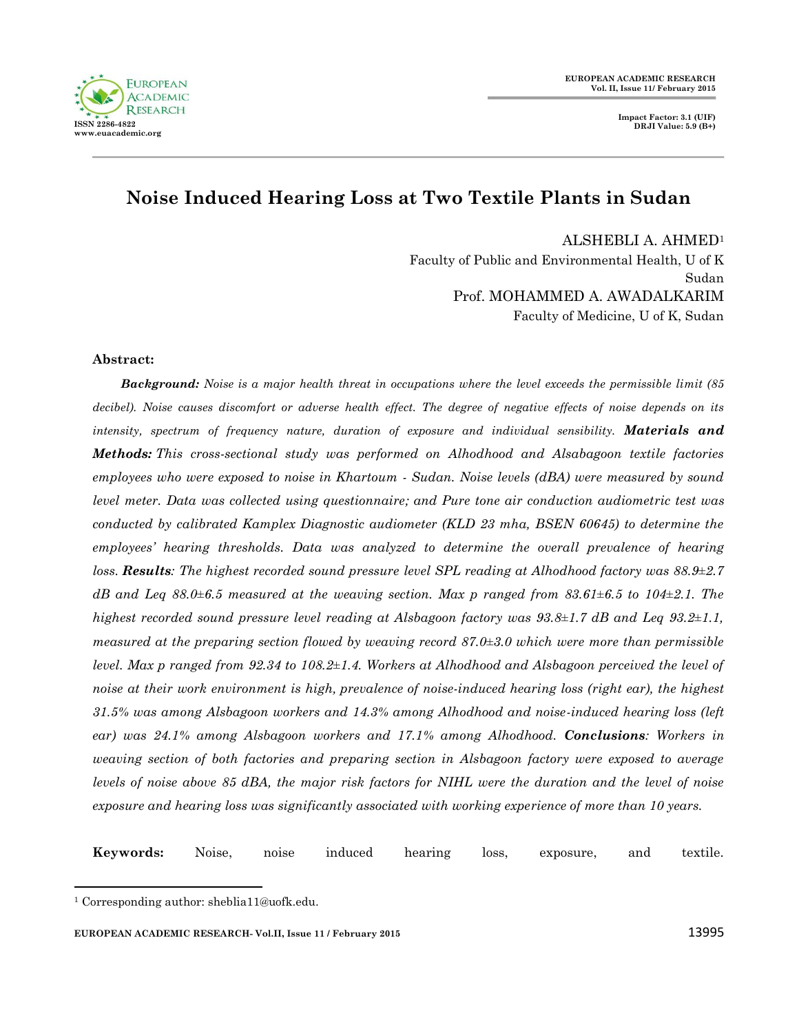

**Impact Factor: 3.1 (UIF) DRJI Value: 5.9 (B+)**

# **Noise Induced Hearing Loss at Two Textile Plants in Sudan**

ALSHEBLI A. AHMED<sup>1</sup>

Faculty of Public and Environmental Health, U of K Sudan Prof. MOHAMMED A. AWADALKARIM Faculty of Medicine, U of K, Sudan

#### **Abstract:**

*Background: Noise is a major health threat in occupations where the level exceeds the permissible limit (85*  decibel). Noise causes discomfort or adverse health effect. The degree of negative effects of noise depends on its *intensity, spectrum of frequency nature, duration of exposure and individual sensibility. Materials and Methods: This cross-sectional study was performed on Alhodhood and Alsabagoon textile factories employees who were exposed to noise in Khartoum - Sudan. Noise levels (dBA) were measured by sound level meter. Data was collected using questionnaire; and Pure tone air conduction audiometric test was conducted by calibrated Kamplex Diagnostic audiometer (KLD 23 mha, BSEN 60645) to determine the employees' hearing thresholds. Data was analyzed to determine the overall prevalence of hearing loss. Results: The highest recorded sound pressure level SPL reading at Alhodhood factory was 88.9±2.7 dB and Leq 88.0±6.5 measured at the weaving section. Max p ranged from 83.61±6.5 to 104±2.1. The highest recorded sound pressure level reading at Alsbagoon factory was 93.8±1.7 dB and Leq 93.2±1.1, measured at the preparing section flowed by weaving record 87.0±3.0 which were more than permissible level. Max p ranged from 92.34 to 108.2±1.4. Workers at Alhodhood and Alsbagoon perceived the level of noise at their work environment is high, prevalence of noise-induced hearing loss (right ear), the highest 31.5% was among Alsbagoon workers and 14.3% among Alhodhood and noise-induced hearing loss (left ear) was 24.1% among Alsbagoon workers and 17.1% among Alhodhood. Conclusions: Workers in weaving section of both factories and preparing section in Alsbagoon factory were exposed to average levels of noise above 85 dBA, the major risk factors for NIHL were the duration and the level of noise exposure and hearing loss was significantly associated with working experience of more than 10 years.*

**Keywords:** Noise, noise induced hearing loss, exposure, and textile.

 $\ddot{\phantom{a}}$ 

<sup>1</sup> Corresponding author: sheblia11@uofk.edu.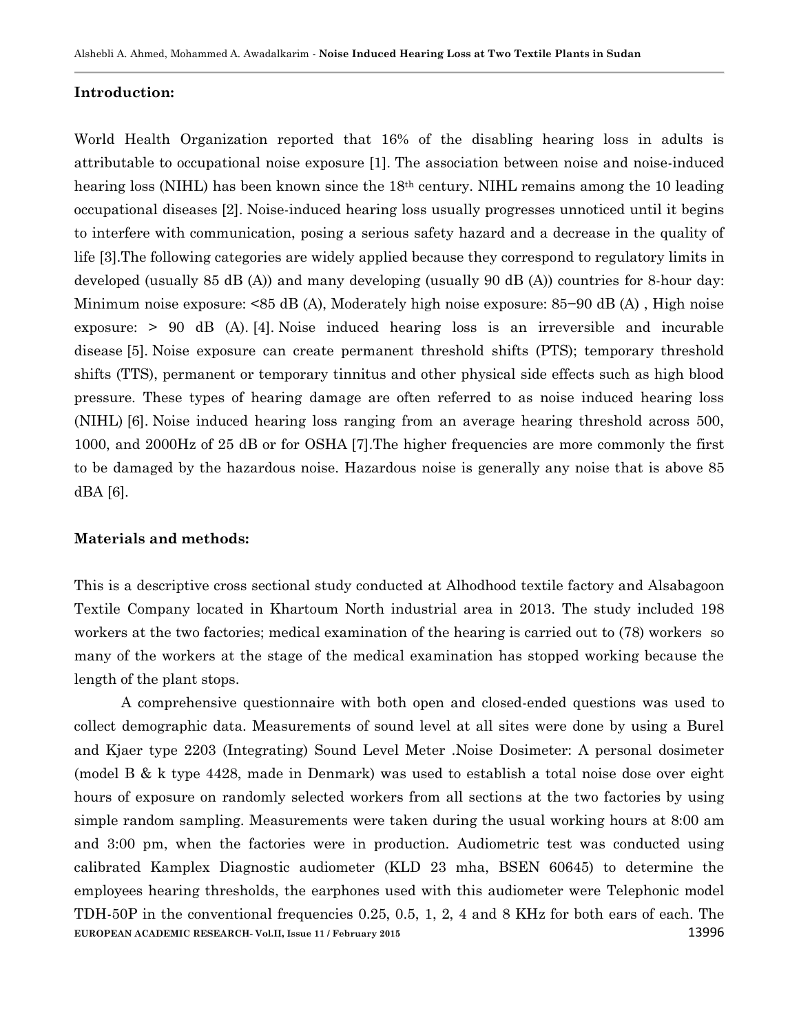#### **Introduction:**

World Health Organization reported that 16% of the disabling hearing loss in adults is attributable to occupational noise exposure [1]. The association between noise and noise-induced hearing loss (NIHL) has been known since the 18<sup>th</sup> century. NIHL remains among the 10 leading occupational diseases [2]. Noise-induced hearing loss usually progresses unnoticed until it begins to interfere with communication, posing a serious safety hazard and a decrease in the quality of life [3].The following categories are widely applied because they correspond to regulatory limits in developed (usually 85 dB (A)) and many developing (usually 90 dB (A)) countries for 8-hour day: Minimum noise exposure: <85 dB (A), Moderately high noise exposure: 85−90 dB (A) , High noise exposure: > 90 dB (A). [4]. Noise induced hearing loss is an irreversible and incurable disease [5]. Noise exposure can create permanent threshold shifts (PTS); temporary threshold shifts (TTS), permanent or temporary tinnitus and other physical side effects such as high blood pressure. These types of hearing damage are often referred to as noise induced hearing loss (NIHL) [6]. Noise induced hearing loss ranging from an average hearing threshold across 500, 1000, and 2000Hz of 25 dB or for OSHA [7].The higher frequencies are more commonly the first to be damaged by the hazardous noise. Hazardous noise is generally any noise that is above 85 dBA [6].

## **Materials and methods:**

This is a descriptive cross sectional study conducted at Alhodhood textile factory and Alsabagoon Textile Company located in Khartoum North industrial area in 2013. The study included 198 workers at the two factories; medical examination of the hearing is carried out to (78) workers so many of the workers at the stage of the medical examination has stopped working because the length of the plant stops.

**EUROPEAN ACADEMIC RESEARCH- Vol.II, Issue 11 / February 2015** 13996 A comprehensive questionnaire with both open and closed-ended questions was used to collect demographic data. Measurements of sound level at all sites were done by using a Burel and Kjaer type 2203 (Integrating) Sound Level Meter .Noise Dosimeter: A personal dosimeter (model B & k type 4428, made in Denmark) was used to establish a total noise dose over eight hours of exposure on randomly selected workers from all sections at the two factories by using simple random sampling. Measurements were taken during the usual working hours at 8:00 am and 3:00 pm, when the factories were in production. Audiometric test was conducted using calibrated Kamplex Diagnostic audiometer (KLD 23 mha, BSEN 60645) to determine the employees hearing thresholds, the earphones used with this audiometer were Telephonic model TDH-50P in the conventional frequencies 0.25, 0.5, 1, 2, 4 and 8 KHz for both ears of each. The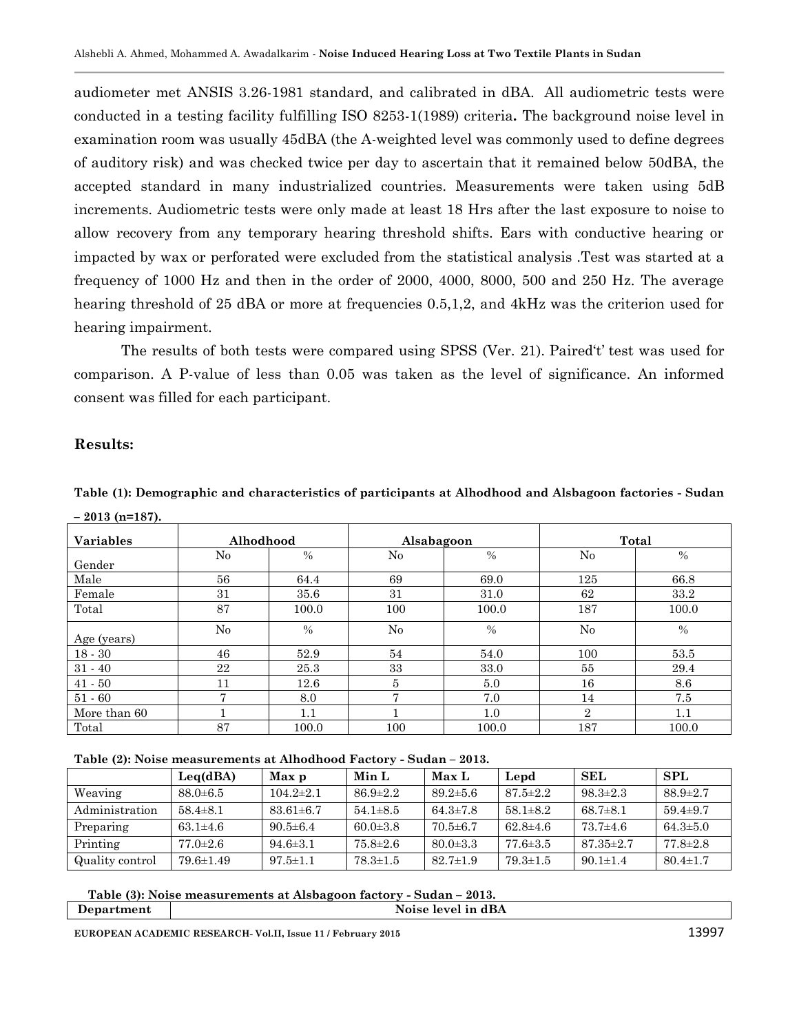audiometer met ANSIS 3.26-1981 standard, and calibrated in dBA. All audiometric tests were conducted in a testing facility fulfilling ISO 8253-1(1989) criteria**.** The background noise level in examination room was usually 45dBA (the A-weighted level was commonly used to define degrees of auditory risk) and was checked twice per day to ascertain that it remained below 50dBA, the accepted standard in many industrialized countries. Measurements were taken using 5dB increments. Audiometric tests were only made at least 18 Hrs after the last exposure to noise to allow recovery from any temporary hearing threshold shifts. Ears with conductive hearing or impacted by wax or perforated were excluded from the statistical analysis .Test was started at a frequency of 1000 Hz and then in the order of 2000, 4000, 8000, 500 and 250 Hz. The average hearing threshold of 25 dBA or more at frequencies 0.5,1,2, and 4kHz was the criterion used for hearing impairment.

The results of both tests were compared using SPSS (Ver. 21). Paired't' test was used for comparison. A P-value of less than 0.05 was taken as the level of significance. An informed consent was filled for each participant.

## **Results:**

# **Table (1): Demographic and characteristics of participants at Alhodhood and Alsbagoon factories - Sudan – 2013 (n=187).**

| <b>Variables</b> | Alhodhood |               | Alsabagoon |               | Total |               |  |
|------------------|-----------|---------------|------------|---------------|-------|---------------|--|
| Gender           | $\rm No$  | $\frac{0}{0}$ | $\rm No$   | $\frac{0}{0}$ | No    | $\frac{0}{0}$ |  |
| Male             | 56        | 64.4          | 69         | 69.0          | 125   | 66.8          |  |
| Female           | 31        | 35.6          | 31         | 31.0          | 62    | 33.2          |  |
| Total            | 87        | 100.0         | 100        | 100.0         | 187   | 100.0         |  |
| Age (years)      | $\rm No$  | $\frac{0}{0}$ | $\rm No$   | $\frac{0}{0}$ | No    | $\%$          |  |
| $18 - 30$        | 46        | 52.9          | 54         | 54.0          | 100   | 53.5          |  |
| $31 - 40$        | 22        | 25.3          | 33         | 33.0          | 55    | 29.4          |  |
| $41 - 50$        | 11        | 12.6          | 5          | 5.0           | 16    | 8.6           |  |
| $51 - 60$        |           | 8.0           |            | 7.0           | 14    | 7.5           |  |
| More than 60     |           | 1.1           |            | 1.0           | 2     | 1.1           |  |
| Total            | 87        | 100.0         | 100        | 100.0         | 187   | 100.0         |  |

**Table (2): Noise measurements at Alhodhood Factory - Sudan – 2013.**

|                 | Leq(dBA)        | Max p           | Min L          | Max L          | Lepd           | SEL             | SPL            |
|-----------------|-----------------|-----------------|----------------|----------------|----------------|-----------------|----------------|
| Weaving         | $88.0 \pm 6.5$  | $104.2 \pm 2.1$ | $86.9 \pm 2.2$ | $89.2 \pm 5.6$ | $87.5 \pm 2.2$ | $98.3 \pm 2.3$  | $88.9 \pm 2.7$ |
| Administration  | $58.4 \pm 8.1$  | $83.61 \pm 6.7$ | $54.1\pm8.5$   | $64.3 \pm 7.8$ | $58.1 \pm 8.2$ | $68.7 \pm 8.1$  | $59.4 \pm 9.7$ |
| Preparing       | $63.1 \pm 4.6$  | $90.5 \pm 6.4$  | $60.0 \pm 3.8$ | $70.5 \pm 6.7$ | $62.8 \pm 4.6$ | $73.7{\pm}4.6$  | $64.3 \pm 5.0$ |
| Printing        | $77.0 \pm 2.6$  | $94.6 \pm 3.1$  | $75.8 \pm 2.6$ | $80.0 \pm 3.3$ | $77.6 \pm 3.5$ | $87.35 \pm 2.7$ | $77.8 \pm 2.8$ |
| Quality control | $79.6 \pm 1.49$ | $97.5 \pm 1.1$  | $78.3 \pm 1.5$ | $82.7 \pm 1.9$ | $79.3 \pm 1.5$ | $90.1 \pm 1.4$  | $80.4 \pm 1.7$ |

 **Table (3): Noise measurements at Alsbagoon factory - Sudan – 2013.**

**Department Noise level in dBA** 

**EUROPEAN ACADEMIC RESEARCH- Vol.II, Issue 11 / February 2015** 13997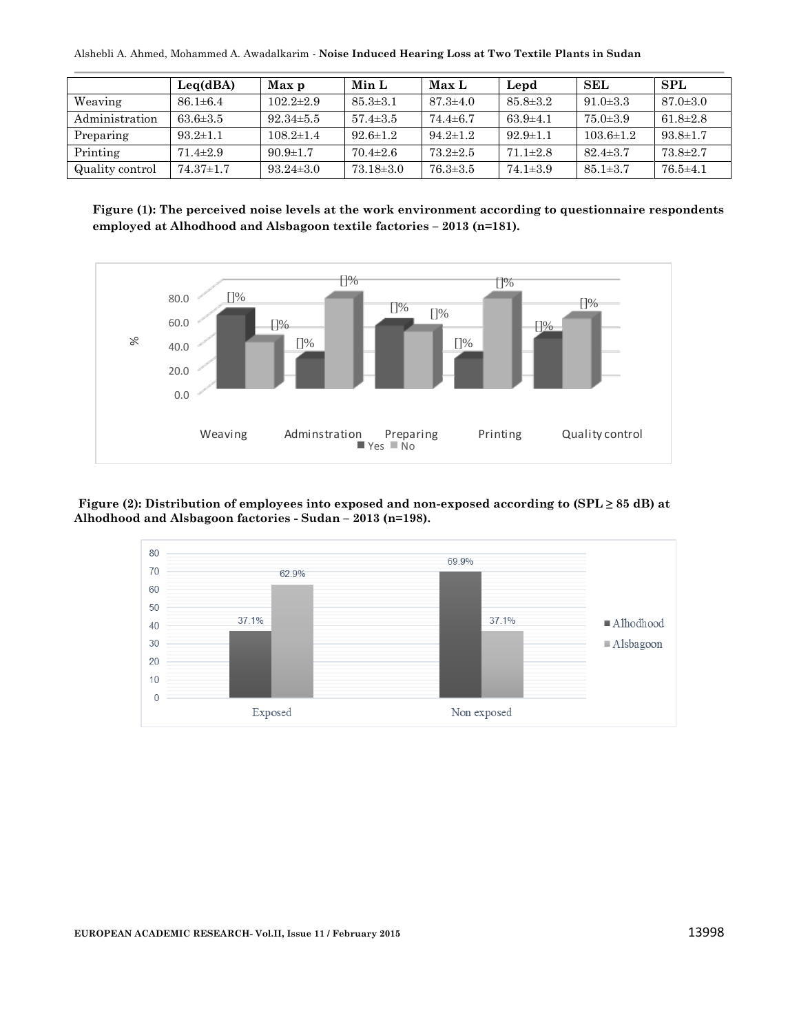Alshebli A. Ahmed, Mohammed A. Awadalkarim *-* **Noise Induced Hearing Loss at Two Textile Plants in Sudan**

|                 | Leq(dBA)        | Max p           | Min L           | Max L          | Lepd           | SEL             | SPL            |
|-----------------|-----------------|-----------------|-----------------|----------------|----------------|-----------------|----------------|
| Weaving         | $86.1 \pm 6.4$  | $102.2 \pm 2.9$ | $85.3 \pm 3.1$  | $87.3 \pm 4.0$ | $85.8 \pm 3.2$ | $91.0 \pm 3.3$  | $87.0 \pm 3.0$ |
| Administration  | $63.6 \pm 3.5$  | $92.34 \pm 5.5$ | $57.4 \pm 3.5$  | $74.4 \pm 6.7$ | $63.9 \pm 4.1$ | $75.0 \pm 3.9$  | $61.8 \pm 2.8$ |
| Preparing       | $93.2 \pm 1.1$  | $108.2 \pm 1.4$ | $92.6 \pm 1.2$  | $94.2 \pm 1.2$ | $92.9 \pm 1.1$ | $103.6 \pm 1.2$ | $93.8 \pm 1.7$ |
| Printing        | $71.4 \pm 2.9$  | $90.9 \pm 1.7$  | $70.4 \pm 2.6$  | $73.2 \pm 2.5$ | $71.1 \pm 2.8$ | $82.4 \pm 3.7$  | $73.8 \pm 2.7$ |
| Quality control | $74.37 \pm 1.7$ | $93.24 \pm 3.0$ | $73.18 \pm 3.0$ | $76.3 \pm 3.5$ | $74.1 \pm 3.9$ | $85.1 \pm 3.7$  | $76.5 \pm 4.1$ |

**Figure (1): The perceived noise levels at the work environment according to questionnaire respondents employed at Alhodhood and Alsbagoon textile factories – 2013 (n=181).**



**Figure (2): Distribution of employees into exposed and non-exposed according to (SPL ≥ 85 dB) at Alhodhood and Alsbagoon factories - Sudan – 2013 (n=198).**

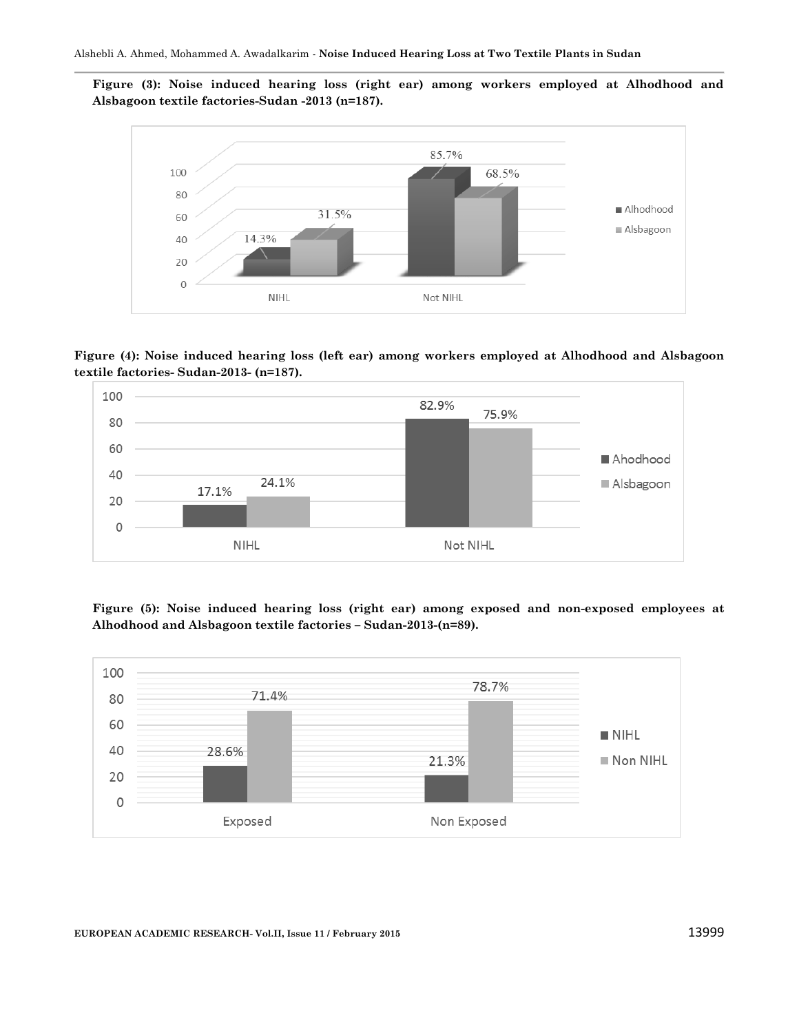**Figure (3): Noise induced hearing loss (right ear) among workers employed at Alhodhood and Alsbagoon textile factories-Sudan -2013 (n=187).**



**Figure (4): Noise induced hearing loss (left ear) among workers employed at Alhodhood and Alsbagoon textile factories- Sudan-2013- (n=187).**



**Figure (5): Noise induced hearing loss (right ear) among exposed and non-exposed employees at Alhodhood and Alsbagoon textile factories – Sudan-2013-(n=89).**

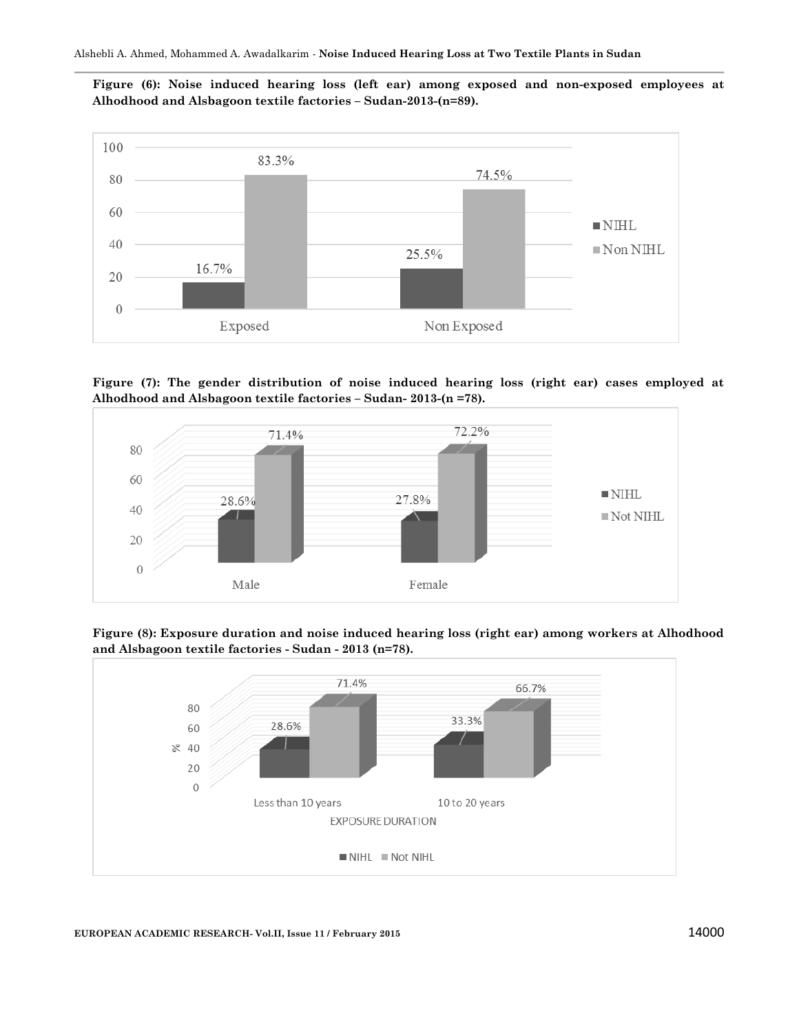**Figure (6): Noise induced hearing loss (left ear) among exposed and non-exposed employees at Alhodhood and Alsbagoon textile factories – Sudan-2013-(n=89).**



**Figure (7): The gender distribution of noise induced hearing loss (right ear) cases employed at Alhodhood and Alsbagoon textile factories – Sudan- 2013-(n =78).**



**Figure (8): Exposure duration and noise induced hearing loss (right ear) among workers at Alhodhood and Alsbagoon textile factories - Sudan - 2013 (n=78).**



#### **EUROPEAN ACADEMIC RESEARCH-** Vol.II, Issue 11 / February 2015 14000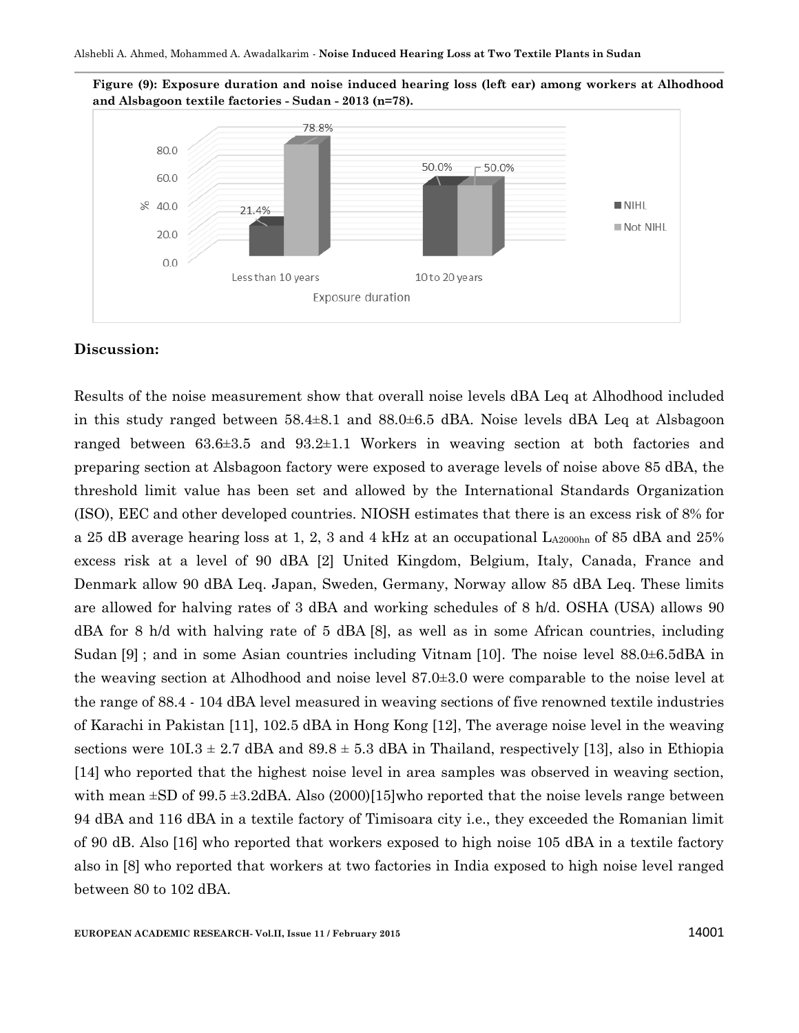



#### **Discussion:**

Results of the noise measurement show that overall noise levels dBA Leq at Alhodhood included in this study ranged between 58.4±8.1 and 88.0±6.5 dBA. Noise levels dBA Leq at Alsbagoon ranged between 63.6±3.5 and 93.2±1.1 Workers in weaving section at both factories and preparing section at Alsbagoon factory were exposed to average levels of noise above 85 dBA, the threshold limit value has been set and allowed by the International Standards Organization (ISO), EEC and other developed countries. NIOSH estimates that there is an excess risk of 8% for a 25 dB average hearing loss at 1, 2, 3 and 4 kHz at an occupational  $L_{A2000hn}$  of 85 dBA and 25% excess risk at a level of 90 dBA [2] United Kingdom, Belgium, Italy, Canada, France and Denmark allow 90 dBA Leq. Japan, Sweden, Germany, Norway allow 85 dBA Leq. These limits are allowed for halving rates of 3 dBA and working schedules of 8 h/d. OSHA (USA) allows 90 dBA for 8 h/d with halving rate of 5 dBA [8], as well as in some African countries, including Sudan [9] ; and in some Asian countries including Vitnam [10]. The noise level 88.0±6.5dBA in the weaving section at Alhodhood and noise level 87.0±3.0 were comparable to the noise level at the range of 88.4 - 104 dBA level measured in weaving sections of five renowned textile industries of Karachi in Pakistan [11], 102.5 dBA in Hong Kong [12], The average noise level in the weaving sections were  $10I.3 \pm 2.7$  dBA and  $89.8 \pm 5.3$  dBA in Thailand, respectively [13], also in Ethiopia [14] who reported that the highest noise level in area samples was observed in weaving section, with mean  $\pm$ SD of 99.5  $\pm$ 3.2dBA. Also (2000)[15]who reported that the noise levels range between 94 dBA and 116 dBA in a textile factory of Timisoara city i.e., they exceeded the Romanian limit of 90 dB. Also [16] who reported that workers exposed to high noise 105 dBA in a textile factory also in [8] who reported that workers at two factories in India exposed to high noise level ranged between 80 to 102 dBA.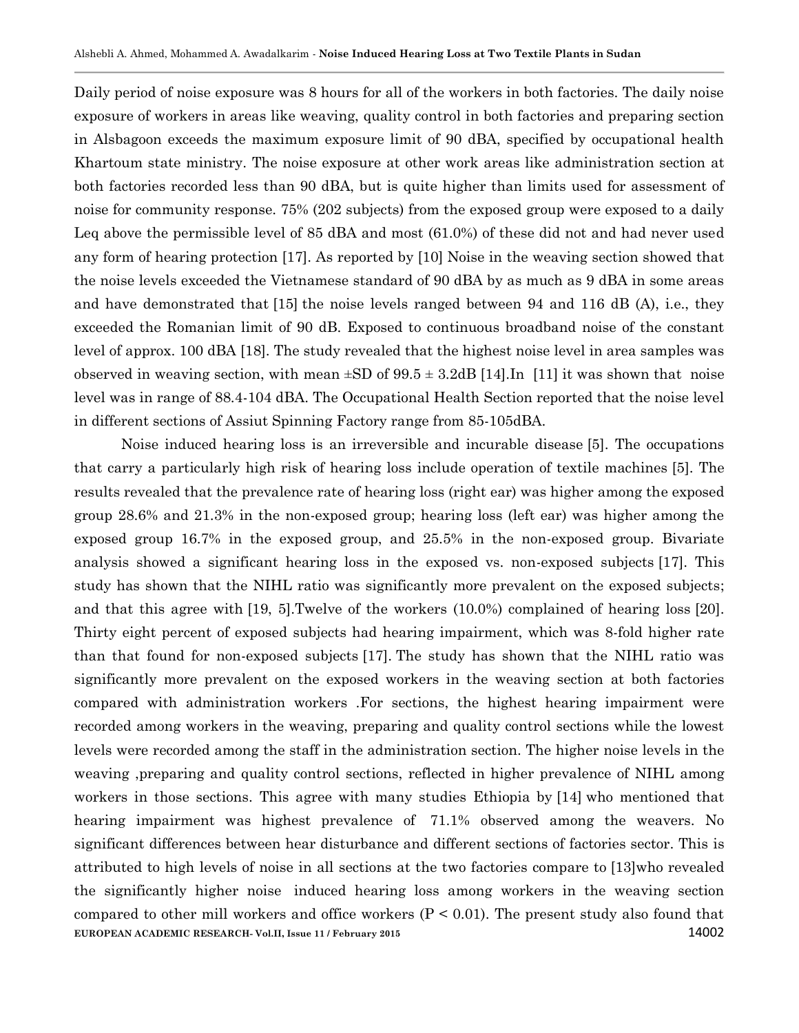Daily period of noise exposure was 8 hours for all of the workers in both factories. The daily noise exposure of workers in areas like weaving, quality control in both factories and preparing section in Alsbagoon exceeds the maximum exposure limit of 90 dBA, specified by occupational health Khartoum state ministry. The noise exposure at other work areas like administration section at both factories recorded less than 90 dBA, but is quite higher than limits used for assessment of noise for community response. 75% (202 subjects) from the exposed group were exposed to a daily Leq above the permissible level of 85 dBA and most (61.0%) of these did not and had never used any form of hearing protection [17]. As reported by [10] Noise in the weaving section showed that the noise levels exceeded the Vietnamese standard of 90 dBA by as much as 9 dBA in some areas and have demonstrated that [15] the noise levels ranged between 94 and 116 dB (A), i.e., they exceeded the Romanian limit of 90 dB. Exposed to continuous broadband noise of the constant level of approx. 100 dBA [18]. The study revealed that the highest noise level in area samples was observed in weaving section, with mean  $\pm SD$  of  $99.5 \pm 3.2$  (14]. In [11] it was shown that noise level was in range of 88.4-104 dBA. The Occupational Health Section reported that the noise level in different sections of Assiut Spinning Factory range from 85-105dBA.

**EUROPEAN ACADEMIC RESEARCH- Vol.II, Issue 11 / February 2015** 14002 Noise induced hearing loss is an irreversible and incurable disease [5]. The occupations that carry a particularly high risk of hearing loss include operation of textile machines [5]. The results revealed that the prevalence rate of hearing loss (right ear) was higher among the exposed group 28.6% and 21.3% in the non-exposed group; hearing loss (left ear) was higher among the exposed group 16.7% in the exposed group, and 25.5% in the non-exposed group. Bivariate analysis showed a significant hearing loss in the exposed vs. non-exposed subjects [17]. This study has shown that the NIHL ratio was significantly more prevalent on the exposed subjects; and that this agree with [19, 5].Twelve of the workers (10.0%) complained of hearing loss [20]. Thirty eight percent of exposed subjects had hearing impairment, which was 8-fold higher rate than that found for non-exposed subjects [17]. The study has shown that the NIHL ratio was significantly more prevalent on the exposed workers in the weaving section at both factories compared with administration workers .For sections, the highest hearing impairment were recorded among workers in the weaving, preparing and quality control sections while the lowest levels were recorded among the staff in the administration section. The higher noise levels in the weaving ,preparing and quality control sections, reflected in higher prevalence of NIHL among workers in those sections. This agree with many studies Ethiopia by [14] who mentioned that hearing impairment was highest prevalence of 71.1% observed among the weavers. No significant differences between hear disturbance and different sections of factories sector. This is attributed to high levels of noise in all sections at the two factories compare to [13]who revealed the significantly higher noise induced hearing loss among workers in the weaving section compared to other mill workers and office workers  $(P < 0.01)$ . The present study also found that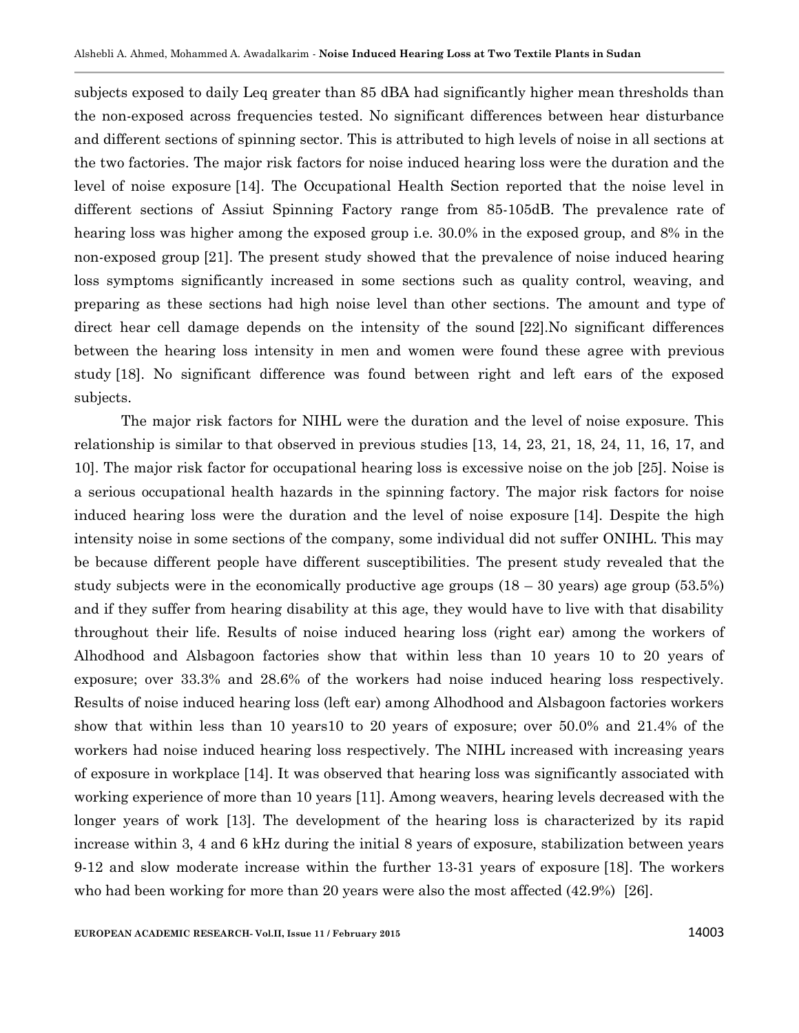subjects exposed to daily Leq greater than 85 dBA had significantly higher mean thresholds than the non-exposed across frequencies tested. No significant differences between hear disturbance and different sections of spinning sector. This is attributed to high levels of noise in all sections at the two factories. The major risk factors for noise induced hearing loss were the duration and the level of noise exposure [14]. The Occupational Health Section reported that the noise level in different sections of Assiut Spinning Factory range from 85-105dB. The prevalence rate of hearing loss was higher among the exposed group i.e. 30.0% in the exposed group, and 8% in the non-exposed group [21]. The present study showed that the prevalence of noise induced hearing loss symptoms significantly increased in some sections such as quality control, weaving, and preparing as these sections had high noise level than other sections. The amount and type of direct hear cell damage depends on the intensity of the sound [22].No significant differences between the hearing loss intensity in men and women were found these agree with previous study [18]. No significant difference was found between right and left ears of the exposed subjects.

The major risk factors for NIHL were the duration and the level of noise exposure. This relationship is similar to that observed in previous studies [13, 14, 23, 21, 18, 24, 11, 16, 17, and 10]. The major risk factor for occupational hearing loss is excessive noise on the job [25]. Noise is a serious occupational health hazards in the spinning factory. The major risk factors for noise induced hearing loss were the duration and the level of noise exposure [14]. Despite the high intensity noise in some sections of the company, some individual did not suffer ONIHL. This may be because different people have different susceptibilities. The present study revealed that the study subjects were in the economically productive age groups  $(18 - 30 \text{ years})$  age group  $(53.5%)$ and if they suffer from hearing disability at this age, they would have to live with that disability throughout their life. Results of noise induced hearing loss (right ear) among the workers of Alhodhood and Alsbagoon factories show that within less than 10 years 10 to 20 years of exposure; over 33.3% and 28.6% of the workers had noise induced hearing loss respectively. Results of noise induced hearing loss (left ear) among Alhodhood and Alsbagoon factories workers show that within less than 10 years10 to 20 years of exposure; over 50.0% and 21.4% of the workers had noise induced hearing loss respectively. The NIHL increased with increasing years of exposure in workplace [14]. It was observed that hearing loss was significantly associated with working experience of more than 10 years [11]. Among weavers, hearing levels decreased with the longer years of work [13]. The development of the hearing loss is characterized by its rapid increase within 3, 4 and 6 kHz during the initial 8 years of exposure, stabilization between years 9-12 and slow moderate increase within the further 13-31 years of exposure [18]. The workers who had been working for more than 20 years were also the most affected (42.9%) [26].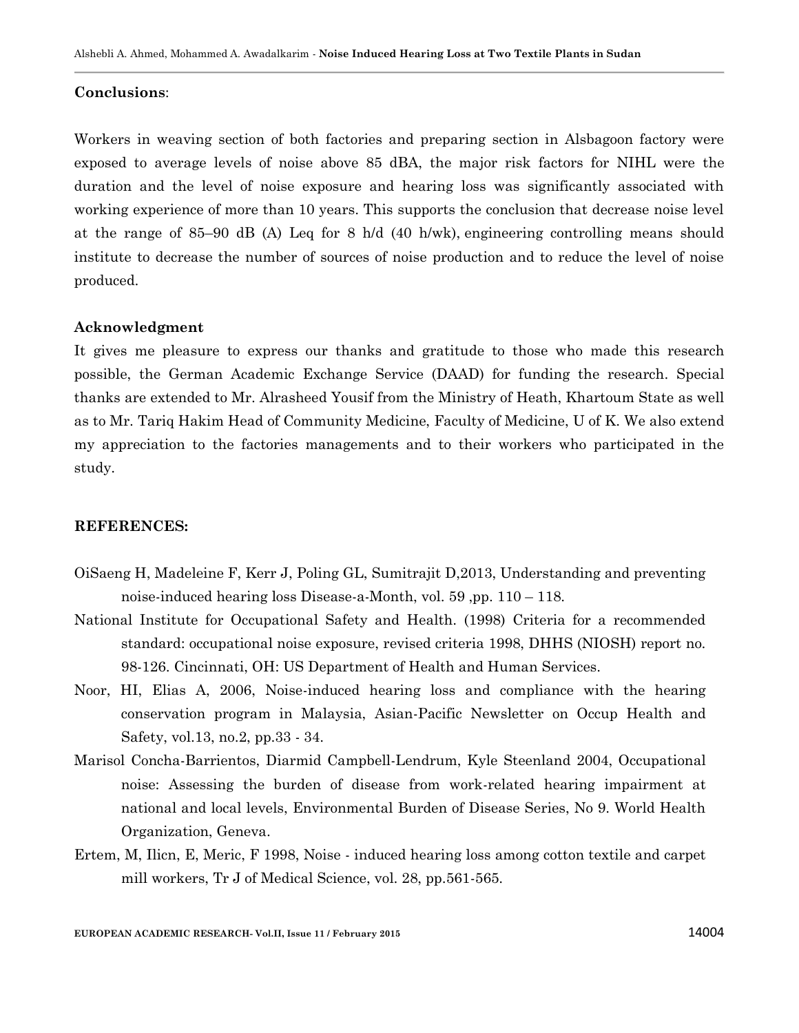#### **Conclusions**:

Workers in weaving section of both factories and preparing section in Alsbagoon factory were exposed to average levels of noise above 85 dBA, the major risk factors for NIHL were the duration and the level of noise exposure and hearing loss was significantly associated with working experience of more than 10 years. This supports the conclusion that decrease noise level at the range of 85–90 dB (A) Leq for 8 h/d (40 h/wk), engineering controlling means should institute to decrease the number of sources of noise production and to reduce the level of noise produced.

#### **Acknowledgment**

It gives me pleasure to express our thanks and gratitude to those who made this research possible, the German Academic Exchange Service (DAAD) for funding the research. Special thanks are extended to Mr. Alrasheed Yousif from the Ministry of Heath, Khartoum State as well as to Mr. Tariq Hakim Head of Community Medicine, Faculty of Medicine, U of K. We also extend my appreciation to the factories managements and to their workers who participated in the study.

#### **REFERENCES:**

- OiSaeng H, Madeleine F, Kerr J, Poling GL, Sumitrajit D,2013, Understanding and preventing noise-induced hearing loss Disease-a-Month, vol. 59 ,pp. 110 – 118.
- National Institute for Occupational Safety and Health. (1998) Criteria for a recommended standard: occupational noise exposure, revised criteria 1998, DHHS (NIOSH) report no. 98-126. Cincinnati, OH: US Department of Health and Human Services.
- Noor, HI, Elias A, 2006, Noise-induced hearing loss and compliance with the hearing conservation program in Malaysia, Asian-Pacific Newsletter on Occup Health and Safety, vol.13, no.2, pp.33 - 34.
- Marisol Concha-Barrientos, Diarmid Campbell-Lendrum, Kyle Steenland 2004, Occupational noise: Assessing the burden of disease from work-related hearing impairment at national and local levels, Environmental Burden of Disease Series, No 9. World Health Organization, Geneva.
- Ertem, M, Ilicn, E, Meric, F 1998, Noise induced hearing loss among cotton textile and carpet mill workers, Tr J of Medical Science, vol. 28, pp.561-565.

**EUROPEAN ACADEMIC RESEARCH- Vol.II, Issue 11 / February 2015** 14004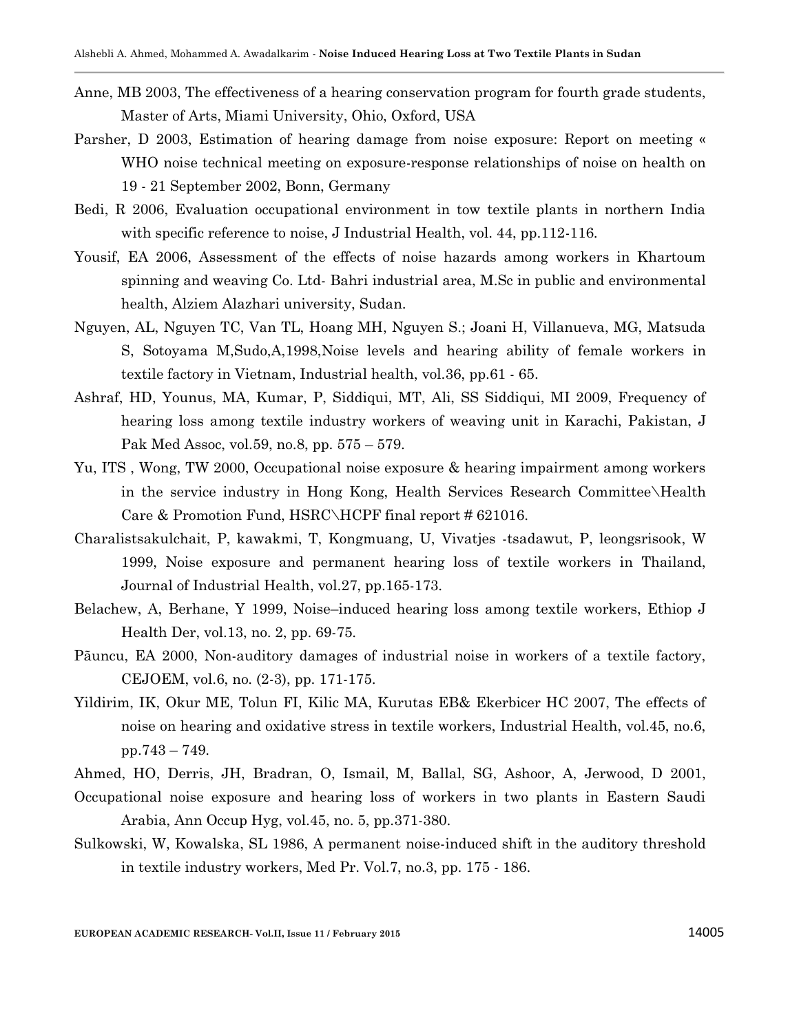- Anne, MB 2003, The effectiveness of a hearing conservation program for fourth grade students, Master of Arts, Miami University, Ohio, Oxford, USA
- Parsher, D 2003, Estimation of hearing damage from noise exposure: Report on meeting « WHO noise technical meeting on exposure-response relationships of noise on health on 19 - 21 September 2002, Bonn, Germany
- Bedi, R 2006, Evaluation occupational environment in tow textile plants in northern India with specific reference to noise, J Industrial Health, vol. 44, pp. 112-116.
- Yousif, EA 2006, Assessment of the effects of noise hazards among workers in Khartoum spinning and weaving Co. Ltd- Bahri industrial area, M.Sc in public and environmental health, Alziem Alazhari university, Sudan.
- Nguyen, AL, Nguyen TC, Van TL, Hoang MH, Nguyen S.; Joani H, Villanueva, MG, Matsuda S, Sotoyama M,Sudo,A,1998,Noise levels and hearing ability of female workers in textile factory in Vietnam, Industrial health, vol.36, pp.61 - 65.
- Ashraf, HD, Younus, MA, Kumar, P, Siddiqui, MT, Ali, SS Siddiqui, MI 2009, Frequency of hearing loss among textile industry workers of weaving unit in Karachi, Pakistan, J Pak Med Assoc, vol.59, no.8, pp. 575 – 579.
- Yu, ITS , Wong, TW 2000, Occupational noise exposure & hearing impairment among workers in the service industry in Hong Kong, Health Services Research Committee\Health Care & Promotion Fund, HSRC\HCPF final report # 621016.
- Charalistsakulchait, P, kawakmi, T, Kongmuang, U, Vivatjes -tsadawut, P, leongsrisook, W 1999, Noise exposure and permanent hearing loss of textile workers in Thailand, Journal of Industrial Health, vol.27, pp.165-173.
- Belachew, A, Berhane, Y 1999, Noise–induced hearing loss among textile workers, Ethiop J Health Der, vol.13, no. 2, pp. 69-75.
- Pãuncu, EA 2000, Non-auditory damages of industrial noise in workers of a textile factory, CEJOEM, vol.6, no. (2-3), pp. 171-175.
- Yildirim, IK, Okur ME, Tolun FI, Kilic MA, Kurutas EB& Ekerbicer HC 2007, The effects of noise on hearing and oxidative stress in textile workers, Industrial Health, vol.45, no.6, pp.743 – 749.
- Ahmed, HO, Derris, JH, Bradran, O, Ismail, M, Ballal, SG, Ashoor, A, Jerwood, D 2001,
- Occupational noise exposure and hearing loss of workers in two plants in Eastern Saudi Arabia, Ann Occup Hyg, vol.45, no. 5, pp.371-380.
- Sulkowski, W, Kowalska, SL 1986, A permanent noise-induced shift in the auditory threshold in textile industry workers, Med Pr. Vol.7, no.3, pp. 175 - 186.